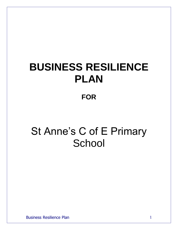# **BUSINESS RESILIENCE PLAN**

### **FOR**

## St Anne's C of E Primary **School**

Business Resilience Plan 1 and 1 and 1 and 1 and 1 and 1 and 1 and 1 and 1 and 1 and 1 and 1 and 1 and 1 and 1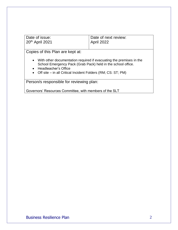| Date of issue:              | Date of next review: |
|-----------------------------|----------------------|
| 20 <sup>th</sup> April 2021 | April 2022           |

Copies of this Plan are kept at:

- With other documentation required if evacuating the premises in the School Emergency Pack (Grab Pack) held in the school office.
- Headteacher's Office
- Off site in all Critical Incident Folders (RM; CS: ST; PM)

Person/s responsible for reviewing plan:

Governors' Resources Committee, with members of the SLT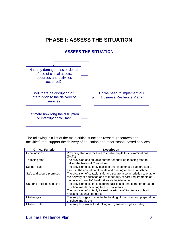



The following is a list of the main critical functions (assets, resources and activities) that support the delivery of education and other school based services:

| <b>Critical Function</b>      | <b>Description</b>                                                      |
|-------------------------------|-------------------------------------------------------------------------|
| Examinations                  | Providing staff and facilities to enable pupils to sit examinations     |
|                               | (SATs)                                                                  |
| Teaching staff                | The provision of a suitable number of qualified teaching staff to       |
|                               | deliver the National Curriculum                                         |
| Support staff                 | The provision of suitably qualified and experienced support staff to    |
|                               | assist in the education of pupils and running of the establishment.     |
| Safe and secure premises      | The provision of suitable, safe and secure accommodation to enable      |
|                               | the delivery of education and to meet duty of care requirements as      |
|                               | per 'in loco parentis', health & safety legislation etc                 |
| Catering facilities and staff | The provision of suitable catering facilities to enable the preparation |
|                               | of school meals including free school meals.                            |
|                               | The provision of suitably trained catering staff to prepare school      |
|                               | meals to national standards.                                            |
| Utilities-gas                 | The supply of gas to enable the heating of premises and preparation     |
|                               | of school meals etc.                                                    |
| Utilities-water               | The supply of water for drinking and general usage including            |

Business Resilience Plan 3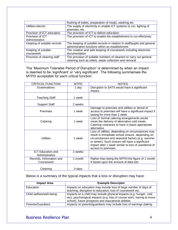|                             | flushing of toilets, preparation of meals, washing etc                  |
|-----------------------------|-------------------------------------------------------------------------|
| Utilities-electric          | The supply of electricity to enable ICT systems to run, lighting of     |
|                             | premises, etc                                                           |
| Provision of ICT education  | The provision of ICT to deliver education                               |
| Provision of ICT            | The provision of ICT to enable the establishment to run effectively     |
| Administrative              |                                                                         |
| Keeping of suitable records | The keeping of suitable records in relation to staff/pupils and general |
|                             | administrative functions within an establishment                        |
| Keeping of suitable         | The creation and safe keeping of coursework including electronic        |
| coursework                  | documentation                                                           |
| Provision of cleaning staff | The provision of suitable numbers of cleaners to carry out general      |
|                             | cleaning such as toilets, waste collection and removal                  |

The 'Maximum Tolerable Period of Disruption' is determined by when an impact is deemed to be 'significant' or 'very significant'. The following summarises the MTPD acceptable for each critical function:

| <b>CRITICAL FUNCTION</b>                   | <b>MTPD</b> | <b>NOTES</b>                                                                                                                                                                                                                                                                                |
|--------------------------------------------|-------------|---------------------------------------------------------------------------------------------------------------------------------------------------------------------------------------------------------------------------------------------------------------------------------------------|
| Examinations                               | 1 day       | Disruption to SATS would have a significant<br>impact.                                                                                                                                                                                                                                      |
| <b>Teaching Staff</b>                      | 1 week      |                                                                                                                                                                                                                                                                                             |
| <b>Support Staff</b>                       | 2 weeks     |                                                                                                                                                                                                                                                                                             |
| Premises                                   | 1 week      | Damage to premises and utilities or denial of<br>access to premises will have a significant impact if<br>lasting for more than 1 week                                                                                                                                                       |
| Catering                                   | 1 week      | Loss of normal catering arrangements would<br>mean the delivery of alternative cold meals.<br>Catering contractor to have in place appropriate<br>alternative.                                                                                                                              |
| <b>Utilities</b>                           | 1 week      | Loss of utilities, depending on circumstances may<br>result in immediate school closure, depending on<br>circumstances and seasonal factors (e.g. summer<br>or winter). Such closure will have a significant<br>impact after 1 week similar to loss of use/denial of<br>access to premises. |
| <b>ICT Education and</b><br>Administrative | 2 weeks     |                                                                                                                                                                                                                                                                                             |
| Records, Information and<br>Coursework     | 1 month     | Rather than being the MTPD the figure of 1 month<br>if based upon the amount of data lost                                                                                                                                                                                                   |
| Cleaning                                   | 3 days      |                                                                                                                                                                                                                                                                                             |

Below is a summary of the typical impacts that a loss or disruption may have:

| <b>Impact Area</b>       | <b>Example Descriptor</b>                                                                                                                                                                          |
|--------------------------|----------------------------------------------------------------------------------------------------------------------------------------------------------------------------------------------------|
| Education                | Impacts on education may include loss of large number of days of<br>teaching, disruption to education, loss of coursework etc.                                                                     |
| Child welfare/well-being | Impacts on a child may include physical impacts (e.g. hunger, cold<br>etc), psychological impacts (e.g. loss of course work, having to move<br>school), future prospects and educational abilities |
| Parents/Guardians        | Impacts on parents/guardians may include loss of earnings (taking                                                                                                                                  |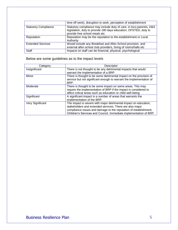|                             | time off work), disruption to work, perception of establishment                                                                                                           |
|-----------------------------|---------------------------------------------------------------------------------------------------------------------------------------------------------------------------|
| <b>Statutory Compliance</b> | Statutory compliance may include duty of care, in loco parentis, H&S<br>legislation, duty to provide 190 days education, OFSTED, duty to<br>provide free school meals etc |
| Reputation                  | Reputation may be the reputation to the establishment or Local<br>Authority                                                                                               |
| <b>Extended Services</b>    | Would include any Breakfast and After-School provision, and<br>external after-school club providers, hiring of rooms/halls etc                                            |
| <b>Staff</b>                | Impacts on staff can be financial, physical, psychological                                                                                                                |

Below are some guidelines as to the impact levels

| Category         | Descriptor                                                                                                                                                                                                                                                            |
|------------------|-----------------------------------------------------------------------------------------------------------------------------------------------------------------------------------------------------------------------------------------------------------------------|
| Insignificant    | There is not thought to be any detrimental impacts that would<br>warrant the implementation of a BRP.                                                                                                                                                                 |
| Minor            | There is thought to be some detrimental impact on the provision of<br>service but not significant enough to warrant the implementation of<br>BRP.                                                                                                                     |
| Moderate         | There is thought to be some impact on some areas. This may<br>require the implementation of BRP if the impact is considered to<br>affect critical areas such as education or child well-being.                                                                        |
| Significant      | A significant impact in a number of areas that warrants the<br>implementation of the BRP.                                                                                                                                                                             |
| Very Significant | The impact is severe with major detrimental impact on education,<br>stakeholders and extended services. There are also major<br>compliance issues and damage to the reputation of establishment,<br>Children's Services and Council. Immediate implementation of BRP. |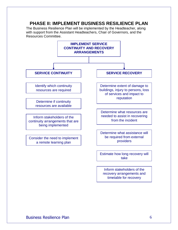#### **PHASE II: IMPLEMENT BUSINESS RESILIENCE PLAN**

The Business Resilience Plan will be implemented by the Headteacher, along with support from the Assistant Headteachers, Chair of Governors, and the Resources Committee.

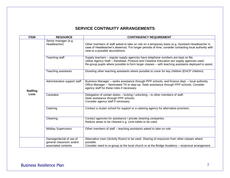#### **SERVICE CONTINUITY ARRANGEMENTS**

| <b>ITEM</b>             | <b>RESOURCE</b>                                                            | <b>CONTINGENCY REQUIREMENT</b>                                                                                                                                                                                                                                                            |
|-------------------------|----------------------------------------------------------------------------|-------------------------------------------------------------------------------------------------------------------------------------------------------------------------------------------------------------------------------------------------------------------------------------------|
| <b>Staffing</b><br>Loss | Senior manager (e.g.<br>Headteacher)                                       | Other members of staff asked to take on role on a temporary basis (e.g. Assistant Headteacher in<br>case of Headteacher's absence). For longer periods of time, consider contacting local authority with<br>view to a possible secondment.                                                |
|                         | <b>Teaching staff</b>                                                      | Supply teachers – regular supply agencies have telephone numbers are kept on file.<br>Utilise Agency Staff - Randstad, Protocol and Clearline Education are supply agencies used.<br>Re-group pupils where possible to form larger classes - with teaching assistants deployed to assist. |
|                         | Teaching assistants                                                        | Diverting other teaching assistants where possible to cover for key children (EHCP children).                                                                                                                                                                                             |
|                         | Administrative support staff                                               | Business Manager - seeks assistance through PPP schools, and finance dept. - local authority.<br>Office Manager - Nominated TA to step-up. Seek assistance through PPP schools. Consider<br>agency staff for these roles if necessary.                                                    |
|                         | Caretaker                                                                  | Delegation of certain duties - locking / unlocking - to other members of staff.<br>Seek assistance through PPP schools.<br>Consider agency staff if necessary.                                                                                                                            |
|                         | Catering                                                                   | Contact a cluster school for support or a catering agency for alternative provision.                                                                                                                                                                                                      |
|                         | Cleaning                                                                   | Contact agencies for assistance / private cleaning companies.<br>Reduce areas to be cleaned e.g. Limit toilets to be used.                                                                                                                                                                |
|                         | <b>Midday Supervisors</b>                                                  | Other members of staff – teaching assistants asked to take on role.                                                                                                                                                                                                                       |
|                         | Damage/denial of use of<br>general classroom and/or<br>associated contents | Alternative room (Activity Room) to be used. Sharing of resources from other classes where<br>possible.<br>Consider need to re-group at the local church or at the Bridge Academy – reciprocal arrangement.                                                                               |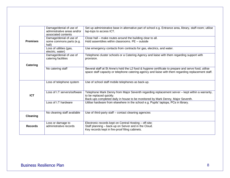|                 | Damage/denial of use of<br>administrative areas and/or<br>associated contents | Set up administrative base in alternative part of school e.g. Entrance area, library, staff-room; utilise<br>lap-tops to access ICT.                                                                        |
|-----------------|-------------------------------------------------------------------------------|-------------------------------------------------------------------------------------------------------------------------------------------------------------------------------------------------------------|
| <b>Premises</b> | Damage/denial of use of<br>some commons parts (e.g.<br>hall)                  | Close hall – make routes around the building clear to all.<br>Hold assemblies within classrooms. PE - outside                                                                                               |
|                 | Loss of utilities (gas,<br>electric, water)                                   | Use emergency contacts from contracts for gas, electrics, and water.                                                                                                                                        |
|                 | Damage/denial of use of<br>catering facilities                                | Telephone cluster schools or a Catering Agency and liaise with them regarding support with<br>provision.                                                                                                    |
| Catering        |                                                                               |                                                                                                                                                                                                             |
|                 | No catering staff                                                             | Several staff at St Anne's hold the L2 food & hygiene certificate to prepare and serve food, utilise<br>space staff capacity or telephone catering agency and liaise with them regarding replacement staff. |
|                 | Loss of telephone system                                                      | Use of school staff mobile telephones as back-up.                                                                                                                                                           |
|                 |                                                                               |                                                                                                                                                                                                             |
| <b>ICT</b>      | Loss of I.T servers/software                                                  | Telephone Mark Denny from Major Seventh regarding replacement server - kept within a warranty,<br>to be replaced quickly.                                                                                   |
|                 |                                                                               | Back-ups completed daily in house to be monitored by Mark Denny, Major Seventh.                                                                                                                             |
|                 | Loss of I.T hardware                                                          | Utilise hardware from elsewhere in the school e.g. Pupils' laptops, PCs in library.                                                                                                                         |
| <b>Cleaning</b> | No cleaning staff available                                                   | Use of third-party staff - contact cleaning agencies                                                                                                                                                        |
| <b>Records</b>  | Loss or damage to<br>administrative records                                   | Electronic records kept on Central Hosting - off-site;<br>Staff planning - back-up on Server and in the Cloud.<br>Key records kept in fire-proof filing cabinets.                                           |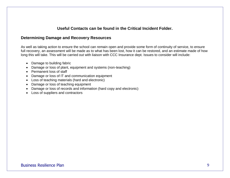#### **Useful Contacts can be found in the Critical Incident Folder.**

#### **Determining Damage and Recovery Resources**

As well as taking action to ensure the school can remain open and provide some form of continuity of service, to ensure full recovery, an assessment will be made as to what has been lost, how it can be restored, and an estimate made of how long this will take. This will be carried out with liaison with CCC Insurance dept. Issues to consider will include:

- Damage to building fabric
- Damage or loss of plant, equipment and systems (non-teaching)
- Permanent loss of staff
- Damage or loss of IT and communication equipment
- Loss of teaching materials (hard and electronic)
- Damage or loss of teaching equipment
- Damage or loss of records and information (hard copy and electronic)
- Loss of suppliers and contractors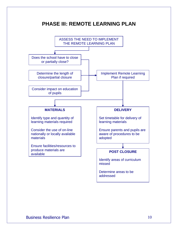### **PHASE III: REMOTE LEARNING PLAN**